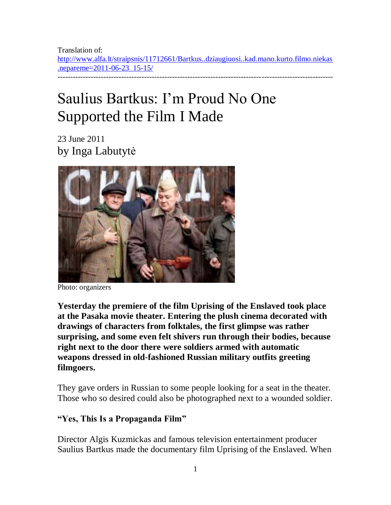Translation of: [http://www.alfa.lt/straipsnis/11712661/Bartkus..dziaugiuosi..kad.mano.kurto.filmo.niekas](http://www.alfa.lt/straipsnis/11712661/Bartkus..dziaugiuosi..kad.mano.kurto.filmo.niekas.nepareme=2011-06-23_15-15/) [.nepareme=2011-06-23\\_15-15/](http://www.alfa.lt/straipsnis/11712661/Bartkus..dziaugiuosi..kad.mano.kurto.filmo.niekas.nepareme=2011-06-23_15-15/) ------------------------------------------------------------------------------------------------------------

# Saulius Bartkus: I"m Proud No One Supported the Film I Made

23 June 2011 by Inga Labutytė



Photo: organizers

**Yesterday the premiere of the film Uprising of the Enslaved took place at the Pasaka movie theater. Entering the plush cinema decorated with drawings of characters from folktales, the first glimpse was rather surprising, and some even felt shivers run through their bodies, because right next to the door there were soldiers armed with automatic weapons dressed in old-fashioned Russian military outfits greeting filmgoers.** 

They gave orders in Russian to some people looking for a seat in the theater. Those who so desired could also be photographed next to a wounded soldier.

### **"Yes, This Is a Propaganda Film"**

Director Algis Kuzmickas and famous television entertainment producer Saulius Bartkus made the documentary film Uprising of the Enslaved. When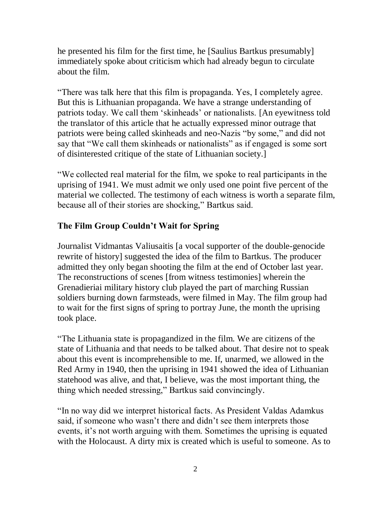he presented his film for the first time, he [Saulius Bartkus presumably] immediately spoke about criticism which had already begun to circulate about the film.

"There was talk here that this film is propaganda. Yes, I completely agree. But this is Lithuanian propaganda. We have a strange understanding of patriots today. We call them "skinheads" or nationalists. [An eyewitness told the translator of this article that he actually expressed minor outrage that patriots were being called skinheads and neo-Nazis "by some," and did not say that "We call them skinheads or nationalists" as if engaged is some sort of disinterested critique of the state of Lithuanian society.]

"We collected real material for the film, we spoke to real participants in the uprising of 1941. We must admit we only used one point five percent of the material we collected. The testimony of each witness is worth a separate film, because all of their stories are shocking," Bartkus said.

## **The Film Group Couldn't Wait for Spring**

Journalist Vidmantas Valiusaitis [a vocal supporter of the double-genocide rewrite of history] suggested the idea of the film to Bartkus. The producer admitted they only began shooting the film at the end of October last year. The reconstructions of scenes [from witness testimonies] wherein the Grenadieriai military history club played the part of marching Russian soldiers burning down farmsteads, were filmed in May. The film group had to wait for the first signs of spring to portray June, the month the uprising took place.

"The Lithuania state is propagandized in the film. We are citizens of the state of Lithuania and that needs to be talked about. That desire not to speak about this event is incomprehensible to me. If, unarmed, we allowed in the Red Army in 1940, then the uprising in 1941 showed the idea of Lithuanian statehood was alive, and that, I believe, was the most important thing, the thing which needed stressing," Bartkus said convincingly.

"In no way did we interpret historical facts. As President Valdas Adamkus said, if someone who wasn't there and didn't see them interprets those events, it's not worth arguing with them. Sometimes the uprising is equated with the Holocaust. A dirty mix is created which is useful to someone. As to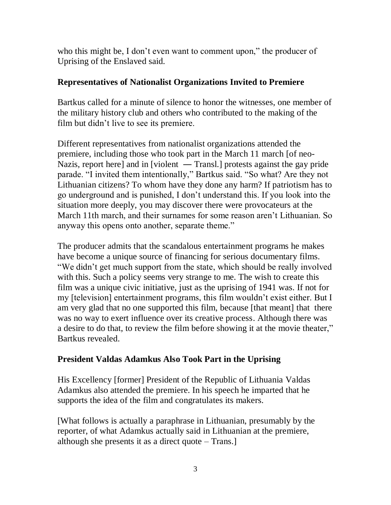who this might be, I don't even want to comment upon," the producer of Uprising of the Enslaved said.

#### **Representatives of Nationalist Organizations Invited to Premiere**

Bartkus called for a minute of silence to honor the witnesses, one member of the military history club and others who contributed to the making of the film but didn"t live to see its premiere.

Different representatives from nationalist organizations attended the premiere, including those who took part in the March 11 march [of neo-Nazis, report here] and in [violent — Transl.] protests against the gay pride parade. "I invited them intentionally," Bartkus said. "So what? Are they not Lithuanian citizens? To whom have they done any harm? If patriotism has to go underground and is punished, I don"t understand this. If you look into the situation more deeply, you may discover there were provocateurs at the March 11th march, and their surnames for some reason aren"t Lithuanian. So anyway this opens onto another, separate theme."

The producer admits that the scandalous entertainment programs he makes have become a unique source of financing for serious documentary films. "We didn"t get much support from the state, which should be really involved with this. Such a policy seems very strange to me. The wish to create this film was a unique civic initiative, just as the uprising of 1941 was. If not for my [television] entertainment programs, this film wouldn"t exist either. But I am very glad that no one supported this film, because [that meant] that there was no way to exert influence over its creative process. Although there was a desire to do that, to review the film before showing it at the movie theater," Bartkus revealed.

## **President Valdas Adamkus Also Took Part in the Uprising**

His Excellency [former] President of the Republic of Lithuania Valdas Adamkus also attended the premiere. In his speech he imparted that he supports the idea of the film and congratulates its makers.

[What follows is actually a paraphrase in Lithuanian, presumably by the reporter, of what Adamkus actually said in Lithuanian at the premiere, although she presents it as a direct quote – Trans.]